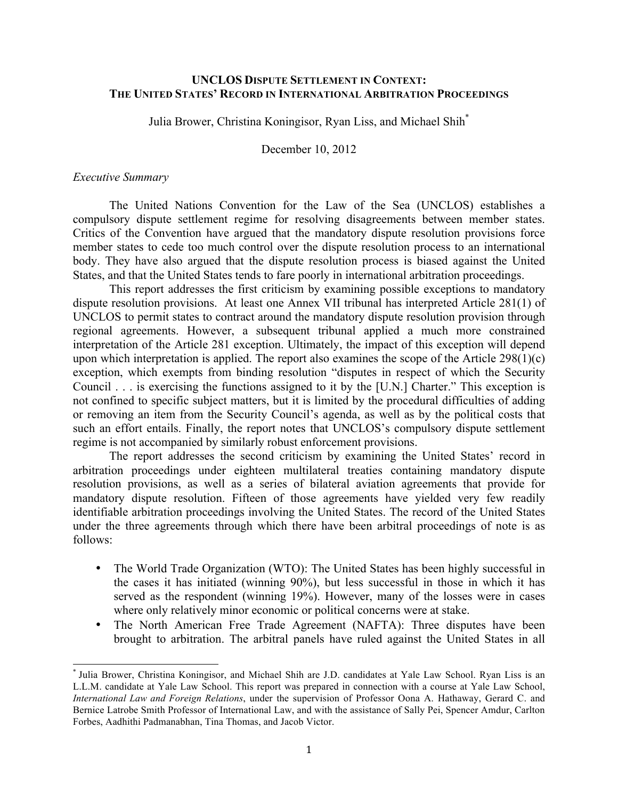# **UNCLOS DISPUTE SETTLEMENT IN CONTEXT: THE UNITED STATES' RECORD IN INTERNATIONAL ARBITRATION PROCEEDINGS**

Julia Brower, Christina Koningisor, Ryan Liss, and Michael Shih\*

December 10, 2012

#### *Executive Summary*

The United Nations Convention for the Law of the Sea (UNCLOS) establishes a compulsory dispute settlement regime for resolving disagreements between member states. Critics of the Convention have argued that the mandatory dispute resolution provisions force member states to cede too much control over the dispute resolution process to an international body. They have also argued that the dispute resolution process is biased against the United States, and that the United States tends to fare poorly in international arbitration proceedings.

This report addresses the first criticism by examining possible exceptions to mandatory dispute resolution provisions. At least one Annex VII tribunal has interpreted Article 281(1) of UNCLOS to permit states to contract around the mandatory dispute resolution provision through regional agreements. However, a subsequent tribunal applied a much more constrained interpretation of the Article 281 exception. Ultimately, the impact of this exception will depend upon which interpretation is applied. The report also examines the scope of the Article 298(1)(c) exception, which exempts from binding resolution "disputes in respect of which the Security Council . . . is exercising the functions assigned to it by the [U.N.] Charter." This exception is not confined to specific subject matters, but it is limited by the procedural difficulties of adding or removing an item from the Security Council's agenda, as well as by the political costs that such an effort entails. Finally, the report notes that UNCLOS's compulsory dispute settlement regime is not accompanied by similarly robust enforcement provisions.

The report addresses the second criticism by examining the United States' record in arbitration proceedings under eighteen multilateral treaties containing mandatory dispute resolution provisions, as well as a series of bilateral aviation agreements that provide for mandatory dispute resolution. Fifteen of those agreements have yielded very few readily identifiable arbitration proceedings involving the United States. The record of the United States under the three agreements through which there have been arbitral proceedings of note is as follows:

- The World Trade Organization (WTO): The United States has been highly successful in the cases it has initiated (winning 90%), but less successful in those in which it has served as the respondent (winning 19%). However, many of the losses were in cases where only relatively minor economic or political concerns were at stake.
- The North American Free Trade Agreement (NAFTA): Three disputes have been brought to arbitration. The arbitral panels have ruled against the United States in all

 \* Julia Brower, Christina Koningisor, and Michael Shih are J.D. candidates at Yale Law School. Ryan Liss is an L.L.M. candidate at Yale Law School. This report was prepared in connection with a course at Yale Law School, *International Law and Foreign Relations*, under the supervision of Professor Oona A. Hathaway, Gerard C. and Bernice Latrobe Smith Professor of International Law, and with the assistance of Sally Pei, Spencer Amdur, Carlton Forbes, Aadhithi Padmanabhan, Tina Thomas, and Jacob Victor.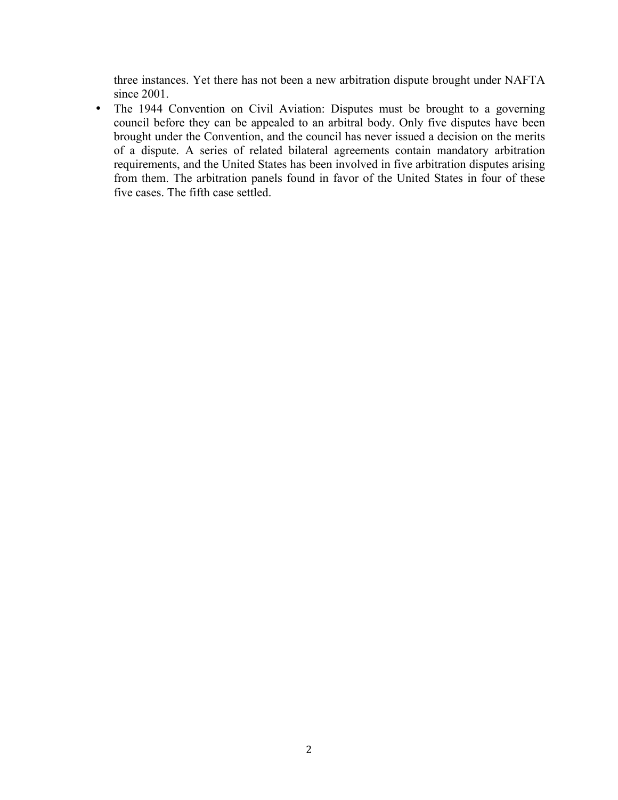three instances. Yet there has not been a new arbitration dispute brought under NAFTA since 2001.

• The 1944 Convention on Civil Aviation: Disputes must be brought to a governing council before they can be appealed to an arbitral body. Only five disputes have been brought under the Convention, and the council has never issued a decision on the merits of a dispute. A series of related bilateral agreements contain mandatory arbitration requirements, and the United States has been involved in five arbitration disputes arising from them. The arbitration panels found in favor of the United States in four of these five cases. The fifth case settled.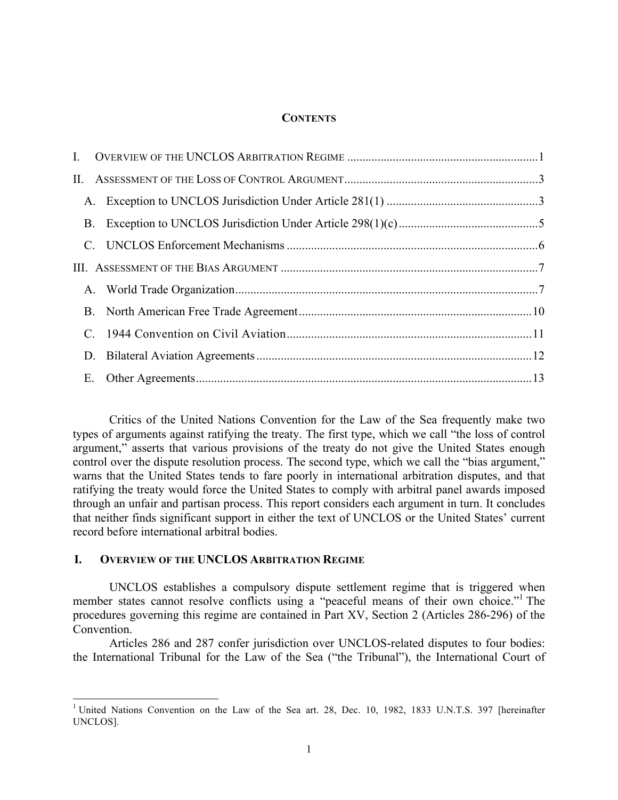#### **CONTENTS**

| Е. |  |  |
|----|--|--|
|    |  |  |

Critics of the United Nations Convention for the Law of the Sea frequently make two types of arguments against ratifying the treaty. The first type, which we call "the loss of control argument," asserts that various provisions of the treaty do not give the United States enough control over the dispute resolution process. The second type, which we call the "bias argument," warns that the United States tends to fare poorly in international arbitration disputes, and that ratifying the treaty would force the United States to comply with arbitral panel awards imposed through an unfair and partisan process. This report considers each argument in turn. It concludes that neither finds significant support in either the text of UNCLOS or the United States' current record before international arbitral bodies.

### **I. OVERVIEW OF THE UNCLOS ARBITRATION REGIME**

UNCLOS establishes a compulsory dispute settlement regime that is triggered when member states cannot resolve conflicts using a "peaceful means of their own choice."<sup>1</sup> The procedures governing this regime are contained in Part XV, Section 2 (Articles 286-296) of the Convention.

Articles 286 and 287 confer jurisdiction over UNCLOS-related disputes to four bodies: the International Tribunal for the Law of the Sea ("the Tribunal"), the International Court of

<sup>&</sup>lt;sup>1</sup> United Nations Convention on the Law of the Sea art. 28, Dec. 10, 1982, 1833 U.N.T.S. 397 [hereinafter UNCLOS].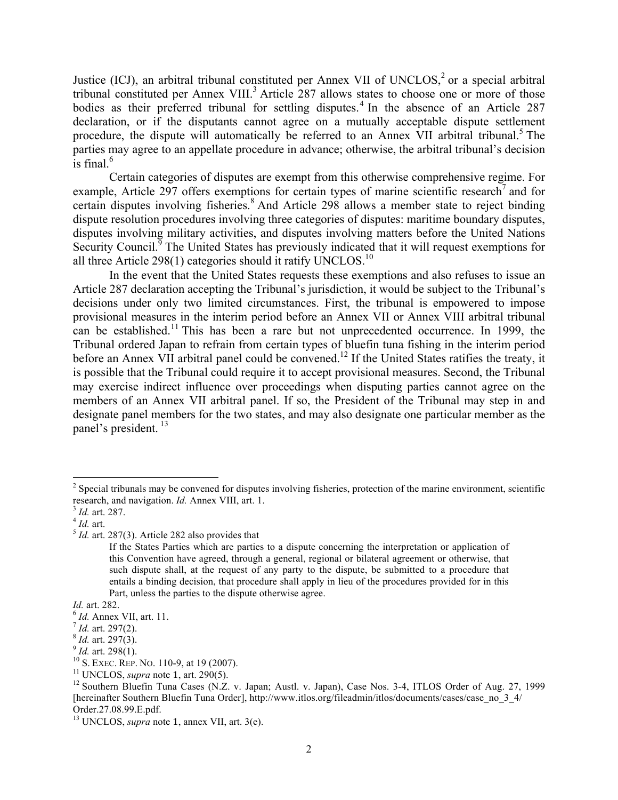Justice (ICJ), an arbitral tribunal constituted per Annex VII of UNCLOS,<sup>2</sup> or a special arbitral tribunal constituted per Annex VIII.<sup>3</sup> Article 287 allows states to choose one or more of those bodies as their preferred tribunal for settling disputes.<sup>4</sup> In the absence of an Article 287 declaration, or if the disputants cannot agree on a mutually acceptable dispute settlement procedure, the dispute will automatically be referred to an Annex VII arbitral tribunal.<sup>5</sup> The parties may agree to an appellate procedure in advance; otherwise, the arbitral tribunal's decision is final. $6$ 

Certain categories of disputes are exempt from this otherwise comprehensive regime. For example. Article 297 offers exemptions for certain types of marine scientific research<sup>7</sup> and for certain disputes involving fisheries.<sup>8</sup> And Article 298 allows a member state to reject binding dispute resolution procedures involving three categories of disputes: maritime boundary disputes, disputes involving military activities, and disputes involving matters before the United Nations Security Council.<sup>9</sup> The United States has previously indicated that it will request exemptions for all three Article 298(1) categories should it ratify UNCLOS.<sup>10</sup>

In the event that the United States requests these exemptions and also refuses to issue an Article 287 declaration accepting the Tribunal's jurisdiction, it would be subject to the Tribunal's decisions under only two limited circumstances. First, the tribunal is empowered to impose provisional measures in the interim period before an Annex VII or Annex VIII arbitral tribunal can be established.<sup>11</sup> This has been a rare but not unprecedented occurrence. In 1999, the Tribunal ordered Japan to refrain from certain types of bluefin tuna fishing in the interim period before an Annex VII arbitral panel could be convened.<sup>12</sup> If the United States ratifies the treaty, it is possible that the Tribunal could require it to accept provisional measures. Second, the Tribunal may exercise indirect influence over proceedings when disputing parties cannot agree on the members of an Annex VII arbitral panel. If so, the President of the Tribunal may step in and designate panel members for the two states, and may also designate one particular member as the panel's president.<sup>13</sup>

<sup>&</sup>lt;sup>2</sup> Special tribunals may be convened for disputes involving fisheries, protection of the marine environment, scientific research, and navigation. *Id.* Annex VIII, art. 1.

 $\frac{3}{4}$ *Id.* art. 287.<br> $\frac{4}{5}$ *Id.* art. 287(3). Article 282 also provides that

If the States Parties which are parties to a dispute concerning the interpretation or application of this Convention have agreed, through a general, regional or bilateral agreement or otherwise, that such dispute shall, at the request of any party to the dispute, be submitted to a procedure that entails a binding decision, that procedure shall apply in lieu of the procedures provided for in this Part, unless the parties to the dispute otherwise agree.

*Id.* art. 282.<br>
<sup>6</sup> *Id.* art. 297(2).<br>
<sup>7</sup> *Id.* art. 297(3).<br>
<sup>9</sup> *Id.* art. 298(1).<br>
<sup>10</sup> S. EXEC. REP. NO. 110-9, at 19 (2007).<br>
<sup>11</sup> UNCLOS. *supra* note 1, art. 290(5).

<sup>&</sup>lt;sup>12</sup> Southern Bluefin Tuna Cases (N.Z. v. Japan; Austl. v. Japan), Case Nos. 3-4, ITLOS Order of Aug. 27, 1999 [hereinafter Southern Bluefin Tuna Order], http://www.itlos.org/fileadmin/itlos/documents/cases/case\_no\_3\_4/ Order.27.08.99.E.pdf.

<sup>13</sup> UNCLOS, *supra* note 1, annex VII, art. 3(e).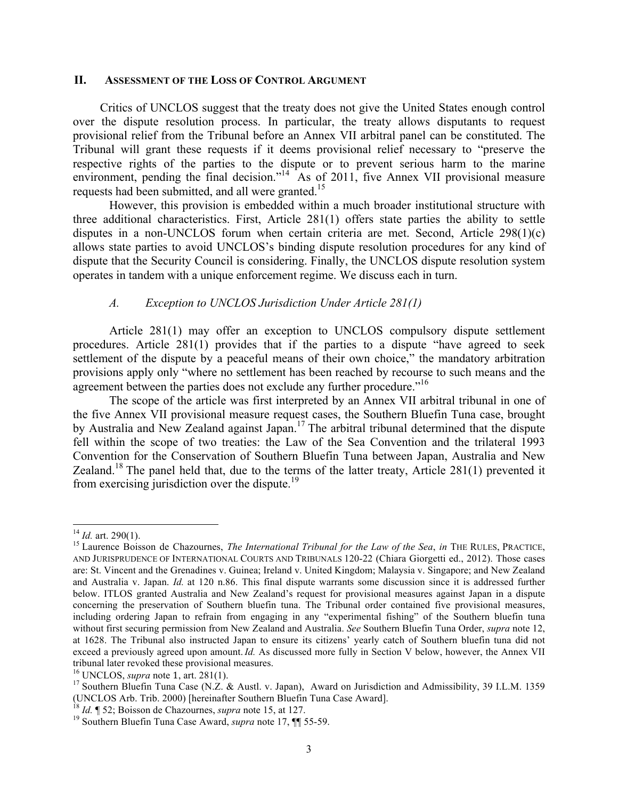#### **II. ASSESSMENT OF THE LOSS OF CONTROL ARGUMENT**

Critics of UNCLOS suggest that the treaty does not give the United States enough control over the dispute resolution process. In particular, the treaty allows disputants to request provisional relief from the Tribunal before an Annex VII arbitral panel can be constituted. The Tribunal will grant these requests if it deems provisional relief necessary to "preserve the respective rights of the parties to the dispute or to prevent serious harm to the marine environment, pending the final decision."<sup>14</sup> As of 2011, five Annex VII provisional measure requests had been submitted, and all were granted.<sup>15</sup>

However, this provision is embedded within a much broader institutional structure with three additional characteristics. First, Article 281(1) offers state parties the ability to settle disputes in a non-UNCLOS forum when certain criteria are met. Second, Article 298(1)(c) allows state parties to avoid UNCLOS's binding dispute resolution procedures for any kind of dispute that the Security Council is considering. Finally, the UNCLOS dispute resolution system operates in tandem with a unique enforcement regime. We discuss each in turn.

#### *A. Exception to UNCLOS Jurisdiction Under Article 281(1)*

Article 281(1) may offer an exception to UNCLOS compulsory dispute settlement procedures. Article 281(1) provides that if the parties to a dispute "have agreed to seek settlement of the dispute by a peaceful means of their own choice," the mandatory arbitration provisions apply only "where no settlement has been reached by recourse to such means and the agreement between the parties does not exclude any further procedure."<sup>16</sup>

The scope of the article was first interpreted by an Annex VII arbitral tribunal in one of the five Annex VII provisional measure request cases, the Southern Bluefin Tuna case, brought by Australia and New Zealand against Japan.<sup>17</sup> The arbitral tribunal determined that the dispute fell within the scope of two treaties: the Law of the Sea Convention and the trilateral 1993 Convention for the Conservation of Southern Bluefin Tuna between Japan, Australia and New Zealand.<sup>18</sup> The panel held that, due to the terms of the latter treaty, Article 281(1) prevented it from exercising jurisdiction over the dispute.<sup>19</sup>

<sup>&</sup>lt;sup>14</sup> *Id.* art. 290(1).<br><sup>15</sup> Laurence Boisson de Chazournes, *The International Tribunal for the Law of the Sea, in* THE RULES, PRACTICE, AND JURISPRUDENCE OF INTERNATIONAL COURTS AND TRIBUNALS 120-22 (Chiara Giorgetti ed., 2012). Those cases are: St. Vincent and the Grenadines v. Guinea; Ireland v. United Kingdom; Malaysia v. Singapore; and New Zealand and Australia v. Japan. *Id.* at 120 n.86. This final dispute warrants some discussion since it is addressed further below. ITLOS granted Australia and New Zealand's request for provisional measures against Japan in a dispute concerning the preservation of Southern bluefin tuna. The Tribunal order contained five provisional measures, including ordering Japan to refrain from engaging in any "experimental fishing" of the Southern bluefin tuna without first securing permission from New Zealand and Australia. *See* Southern Bluefin Tuna Order, *supra* note 12, at 1628. The Tribunal also instructed Japan to ensure its citizens' yearly catch of Southern bluefin tuna did not exceed a previously agreed upon amount. *Id.* As discussed more fully in Section V below, however, the Annex VII tribunal later revoked these provisional measures.

<sup>&</sup>lt;sup>16</sup> UNCLOS, *supra* note 1, art. 281(1).<br><sup>17</sup> Southern Bluefin Tuna Case (N.Z. & Austl. v. Japan), Award on Jurisdiction and Admissibility, 39 I.L.M. 1359 (UNCLOS Arb. Trib. 2000) [hereinafter Southern Bluefin Tuna Case Award]. <sup>18</sup> *Id.* ¶ 52; Boisson de Chazournes, *supra* note 15, at 127. <sup>19</sup> Southern Bluefin Tuna Case Award, *supra* note 17, ¶¶ 55-59.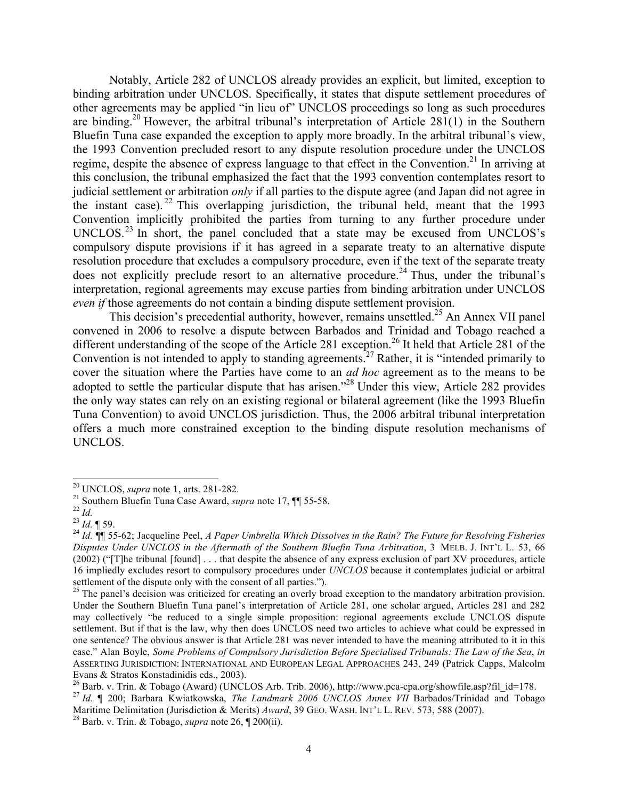Notably, Article 282 of UNCLOS already provides an explicit, but limited, exception to binding arbitration under UNCLOS. Specifically, it states that dispute settlement procedures of other agreements may be applied "in lieu of" UNCLOS proceedings so long as such procedures are binding.<sup>20</sup> However, the arbitral tribunal's interpretation of Article  $281(1)$  in the Southern Bluefin Tuna case expanded the exception to apply more broadly. In the arbitral tribunal's view, the 1993 Convention precluded resort to any dispute resolution procedure under the UNCLOS regime, despite the absence of express language to that effect in the Convention.<sup>21</sup> In arriving at this conclusion, the tribunal emphasized the fact that the 1993 convention contemplates resort to judicial settlement or arbitration *only* if all parties to the dispute agree (and Japan did not agree in the instant case). <sup>22</sup> This overlapping jurisdiction, the tribunal held, meant that the 1993 Convention implicitly prohibited the parties from turning to any further procedure under UNCLOS.<sup>23</sup> In short, the panel concluded that a state may be excused from UNCLOS's compulsory dispute provisions if it has agreed in a separate treaty to an alternative dispute resolution procedure that excludes a compulsory procedure, even if the text of the separate treaty does not explicitly preclude resort to an alternative procedure.<sup>24</sup> Thus, under the tribunal's interpretation, regional agreements may excuse parties from binding arbitration under UNCLOS *even if* those agreements do not contain a binding dispute settlement provision.

This decision's precedential authority, however, remains unsettled.<sup>25</sup> An Annex VII panel convened in 2006 to resolve a dispute between Barbados and Trinidad and Tobago reached a different understanding of the scope of the Article 281 exception.<sup>26</sup> It held that Article 281 of the Convention is not intended to apply to standing agreements.<sup>27</sup> Rather, it is "intended primarily to cover the situation where the Parties have come to an *ad hoc* agreement as to the means to be adopted to settle the particular dispute that has arisen."<sup>28</sup> Under this view, Article 282 provides the only way states can rely on an existing regional or bilateral agreement (like the 1993 Bluefin Tuna Convention) to avoid UNCLOS jurisdiction. Thus, the 2006 arbitral tribunal interpretation offers a much more constrained exception to the binding dispute resolution mechanisms of UNCLOS.

 

<sup>&</sup>lt;sup>20</sup> UNCLOS, *supra* note 1, arts. 281-282.<br><sup>21</sup> Southern Bluefin Tuna Case Award, *supra* note 17,  $\P$  55-58.<br><sup>22</sup> Id. <br><sup>23</sup> Id. ¶ 59.<br><sup>24</sup> Id. ¶ 55-62: Jacqueline Peel, *A Paper Umbrella Which Dissolves in the Rain? The Disputes Under UNCLOS in the Aftermath of the Southern Bluefin Tuna Arbitration*, 3 MELB. J. INT'L L. 53, 66  $(2002)$  ("[T]he tribunal [found] ... that despite the absence of any express exclusion of part XV procedures, article 16 impliedly excludes resort to compulsory procedures under *UNCLOS* because it contemplates judicial or arbitral settlement of the dispute only with the consent of all parties.").

 $^{25}$  The panel's decision was criticized for creating an overly broad exception to the mandatory arbitration provision. Under the Southern Bluefin Tuna panel's interpretation of Article 281, one scholar argued, Articles 281 and 282 may collectively "be reduced to a single simple proposition: regional agreements exclude UNCLOS dispute settlement. But if that is the law, why then does UNCLOS need two articles to achieve what could be expressed in one sentence? The obvious answer is that Article 281 was never intended to have the meaning attributed to it in this case." Alan Boyle, *Some Problems of Compulsory Jurisdiction Before Specialised Tribunals: The Law of the Sea*, *in* ASSERTING JURISDICTION: INTERNATIONAL AND EUROPEAN LEGAL APPROACHES 243, 249 (Patrick Capps, Malcolm Evans & Stratos Konstadinidis eds., 2003).<br><sup>26</sup> Barb. v. Trin. & Tobago (Award) (UNCLOS Arb. Trib. 2006), http://www.pca-cpa.org/showfile.asp?fil id=178.

<sup>&</sup>lt;sup>27</sup> Id. ¶ 200; Barbara Kwiatkowska, *The Landmark 2006 UNCLOS Annex VII* Barbados/Trinidad and Tobago Maritime Delimitation (Jurisdiction & Merits) *Award*, 39 GEO. WASH. INT'L L. REV. 573, 588 (2007).<br><sup>28</sup> Barb. v. Trin. & Tobago, *supra* note 26, ¶ 200(ii).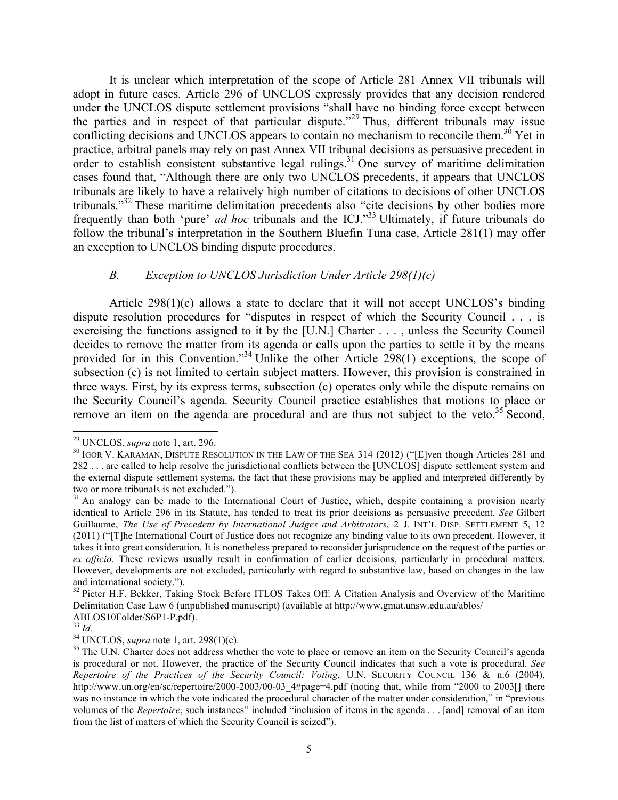It is unclear which interpretation of the scope of Article 281 Annex VII tribunals will adopt in future cases. Article 296 of UNCLOS expressly provides that any decision rendered under the UNCLOS dispute settlement provisions "shall have no binding force except between the parties and in respect of that particular dispute."<sup>29</sup> Thus, different tribunals may issue conflicting decisions and UNCLOS appears to contain no mechanism to reconcile them.<sup>30</sup> Yet in practice, arbitral panels may rely on past Annex VII tribunal decisions as persuasive precedent in order to establish consistent substantive legal rulings.<sup>31</sup> One survey of maritime delimitation cases found that, "Although there are only two UNCLOS precedents, it appears that UNCLOS tribunals are likely to have a relatively high number of citations to decisions of other UNCLOS tribunals."<sup>32</sup> These maritime delimitation precedents also "cite decisions by other bodies more frequently than both 'pure' *ad hoc* tribunals and the ICJ."33 Ultimately, if future tribunals do follow the tribunal's interpretation in the Southern Bluefin Tuna case, Article 281(1) may offer an exception to UNCLOS binding dispute procedures.

# *B. Exception to UNCLOS Jurisdiction Under Article 298(1)(c)*

Article 298(1)(c) allows a state to declare that it will not accept UNCLOS's binding dispute resolution procedures for "disputes in respect of which the Security Council . . . is exercising the functions assigned to it by the [U.N.] Charter . . . , unless the Security Council decides to remove the matter from its agenda or calls upon the parties to settle it by the means provided for in this Convention."<sup>34</sup> Unlike the other Article 298(1) exceptions, the scope of subsection (c) is not limited to certain subject matters. However, this provision is constrained in three ways. First, by its express terms, subsection (c) operates only while the dispute remains on the Security Council's agenda. Security Council practice establishes that motions to place or remove an item on the agenda are procedural and are thus not subject to the veto.<sup>35</sup> Second,

<sup>&</sup>lt;sup>29</sup> UNCLOS, *supra* note 1, art. 296.<br><sup>30</sup> IGOR V. KARAMAN, DISPUTE RESOLUTION IN THE LAW OF THE SEA 314 (2012) ("[E]ven though Articles 281 and 282 . . . are called to help resolve the jurisdictional conflicts between the [UNCLOS] dispute settlement system and the external dispute settlement systems, the fact that these provisions may be applied and interpreted differently by two or more tribunals is not excluded.").

<sup>&</sup>lt;sup>31</sup> An analogy can be made to the International Court of Justice, which, despite containing a provision nearly identical to Article 296 in its Statute, has tended to treat its prior decisions as persuasive precedent. *See* Gilbert Guillaume, *The Use of Precedent by International Judges and Arbitrators*, 2 J. INT'L DISP. SETTLEMENT 5, 12 (2011) ("[T]he International Court of Justice does not recognize any binding value to its own precedent. However, it takes it into great consideration. It is nonetheless prepared to reconsider jurisprudence on the request of the parties or *ex officio*. These reviews usually result in confirmation of earlier decisions, particularly in procedural matters. However, developments are not excluded, particularly with regard to substantive law, based on changes in the law and international society.").<br><sup>32</sup> Pieter H.F. Bekker, Taking Stock Before ITLOS Takes Off: A Citation Analysis and Overview of the Maritime

Delimitation Case Law 6 (unpublished manuscript) (available at http://www.gmat.unsw.edu.au/ablos/<br>ABLOS10Folder/S6P1-P.pdf).<br> $^{33}$  Id.

<sup>&</sup>lt;sup>34</sup> UNCLOS, *supra* note 1, art. 298(1)(c). <sup>35</sup> The U.N. Charter does not address whether the vote to place or remove an item on the Security Council's agenda<sup>35</sup> The U.N. Charter does not address whether the vote to pla is procedural or not. However, the practice of the Security Council indicates that such a vote is procedural. *See Repertoire of the Practices of the Security Council: Voting*, U.N. SECURITY COUNCIL 136 & n.6 (2004), http://www.un.org/en/sc/repertoire/2000-2003/00-03 4#page=4.pdf (noting that, while from "2000 to 2003[] there was no instance in which the vote indicated the procedural character of the matter under consideration," in "previous volumes of the *Repertoire*, such instances" included "inclusion of items in the agenda . . . [and] removal of an item from the list of matters of which the Security Council is seized").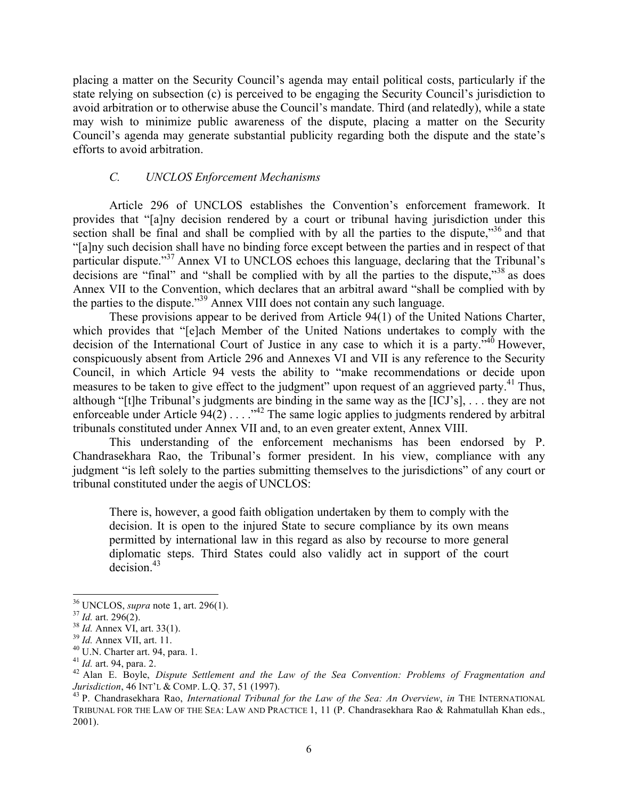placing a matter on the Security Council's agenda may entail political costs, particularly if the state relying on subsection (c) is perceived to be engaging the Security Council's jurisdiction to avoid arbitration or to otherwise abuse the Council's mandate. Third (and relatedly), while a state may wish to minimize public awareness of the dispute, placing a matter on the Security Council's agenda may generate substantial publicity regarding both the dispute and the state's efforts to avoid arbitration.

# *C. UNCLOS Enforcement Mechanisms*

Article 296 of UNCLOS establishes the Convention's enforcement framework. It provides that "[a]ny decision rendered by a court or tribunal having jurisdiction under this section shall be final and shall be complied with by all the parties to the dispute, $^{336}$  and that "[a]ny such decision shall have no binding force except between the parties and in respect of that particular dispute."<sup>37</sup> Annex VI to UNCLOS echoes this language, declaring that the Tribunal's decisions are "final" and "shall be complied with by all the parties to the dispute, $^{38}$  as does Annex VII to the Convention, which declares that an arbitral award "shall be complied with by the parties to the dispute."<sup>39</sup> Annex VIII does not contain any such language.

These provisions appear to be derived from Article 94(1) of the United Nations Charter, which provides that "[e]ach Member of the United Nations undertakes to comply with the decision of the International Court of Justice in any case to which it is a party."40 However, conspicuously absent from Article 296 and Annexes VI and VII is any reference to the Security Council, in which Article 94 vests the ability to "make recommendations or decide upon measures to be taken to give effect to the judgment" upon request of an aggrieved party.<sup>41</sup> Thus, although "[t]he Tribunal's judgments are binding in the same way as the [ICJ's], . . . they are not enforceable under Article  $94(2)$ ...."<sup>42</sup> The same logic applies to judgments rendered by arbitral tribunals constituted under Annex VII and, to an even greater extent, Annex VIII.

This understanding of the enforcement mechanisms has been endorsed by P. Chandrasekhara Rao, the Tribunal's former president. In his view, compliance with any judgment "is left solely to the parties submitting themselves to the jurisdictions" of any court or tribunal constituted under the aegis of UNCLOS:

There is, however, a good faith obligation undertaken by them to comply with the decision. It is open to the injured State to secure compliance by its own means permitted by international law in this regard as also by recourse to more general diplomatic steps. Third States could also validly act in support of the court decision.<sup>43</sup>

<sup>&</sup>lt;sup>36</sup> UNCLOS, *supra* note 1, art. 296(1).<br>
<sup>37</sup> *Id.* art. 296(2).<br>
<sup>38</sup> *Id.* Annex VI, art. 33(1).<br>
<sup>39</sup> *Id.* Annex VII, art. 11.<br>
<sup>40</sup> U.N. Charter art. 94, para. 1.<br>
<sup>41</sup> *Id.* art. 94, para. 2.<br>
<sup>41</sup> *Id.* art. 94, *Jurisdiction*, 46 INT'L & COMP. L.Q. 37, 51 (1997).<br><sup>43</sup> P. Chandrasekhara Rao, *International Tribunal for the Law of the Sea: An Overview*, *in* THE INTERNATIONAL

TRIBUNAL FOR THE LAW OF THE SEA: LAW AND PRACTICE 1, 11 (P. Chandrasekhara Rao & Rahmatullah Khan eds., 2001).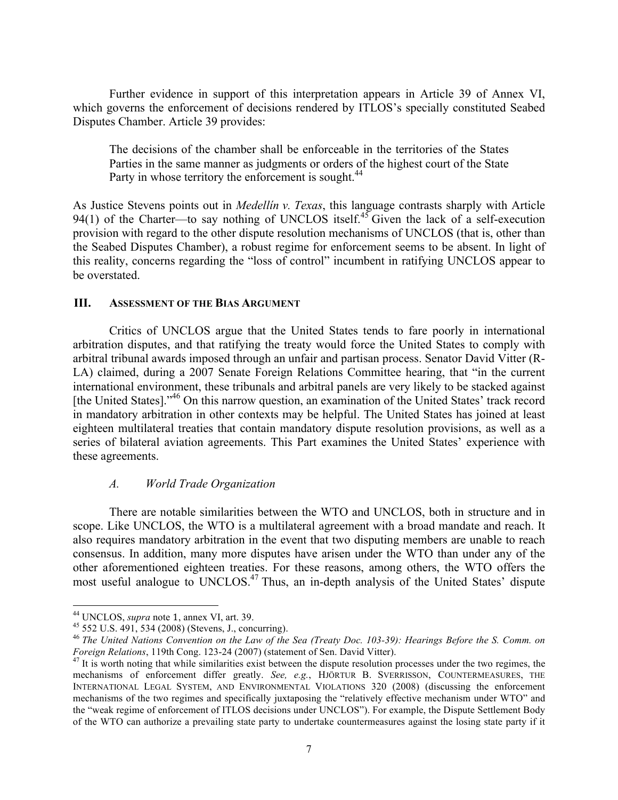Further evidence in support of this interpretation appears in Article 39 of Annex VI, which governs the enforcement of decisions rendered by ITLOS's specially constituted Seabed Disputes Chamber. Article 39 provides:

The decisions of the chamber shall be enforceable in the territories of the States Parties in the same manner as judgments or orders of the highest court of the State Party in whose territory the enforcement is sought.<sup>44</sup>

As Justice Stevens points out in *Medellín v. Texas*, this language contrasts sharply with Article 94(1) of the Charter—to say nothing of UNCLOS itself.<sup>45</sup> Given the lack of a self-execution provision with regard to the other dispute resolution mechanisms of UNCLOS (that is, other than the Seabed Disputes Chamber), a robust regime for enforcement seems to be absent. In light of this reality, concerns regarding the "loss of control" incumbent in ratifying UNCLOS appear to be overstated.

# **III. ASSESSMENT OF THE BIAS ARGUMENT**

Critics of UNCLOS argue that the United States tends to fare poorly in international arbitration disputes, and that ratifying the treaty would force the United States to comply with arbitral tribunal awards imposed through an unfair and partisan process. Senator David Vitter (R-LA) claimed, during a 2007 Senate Foreign Relations Committee hearing, that "in the current international environment, these tribunals and arbitral panels are very likely to be stacked against [the United States]."<sup>46</sup> On this narrow question, an examination of the United States' track record in mandatory arbitration in other contexts may be helpful. The United States has joined at least eighteen multilateral treaties that contain mandatory dispute resolution provisions, as well as a series of bilateral aviation agreements. This Part examines the United States' experience with these agreements.

# *A. World Trade Organization*

There are notable similarities between the WTO and UNCLOS, both in structure and in scope. Like UNCLOS, the WTO is a multilateral agreement with a broad mandate and reach. It also requires mandatory arbitration in the event that two disputing members are unable to reach consensus. In addition, many more disputes have arisen under the WTO than under any of the other aforementioned eighteen treaties. For these reasons, among others, the WTO offers the most useful analogue to UNCLOS.<sup>47</sup> Thus, an in-depth analysis of the United States' dispute

 

<sup>&</sup>lt;sup>44</sup> UNCLOS, *supra* note 1, annex VI, art. 39.<br><sup>45</sup> 552 U.S. 491, 534 (2008) (Stevens, J., concurring).<br><sup>46</sup> *The United Nations Convention on the Law of the Sea (Treaty Doc. 103-39): Hearings Before the S. Comm. on <i>Fore* 

<sup>&</sup>lt;sup>47</sup> It is worth noting that while similarities exist between the dispute resolution processes under the two regimes, the mechanisms of enforcement differ greatly. *See, e.g.*, HJÖRTUR B. SVERRISSON, COUNTERMEASURES, THE INTERNATIONAL LEGAL SYSTEM, AND ENVIRONMENTAL VIOLATIONS 320 (2008) (discussing the enforcement mechanisms of the two regimes and specifically juxtaposing the "relatively effective mechanism under WTO" and the "weak regime of enforcement of ITLOS decisions under UNCLOS"). For example, the Dispute Settlement Body of the WTO can authorize a prevailing state party to undertake countermeasures against the losing state party if it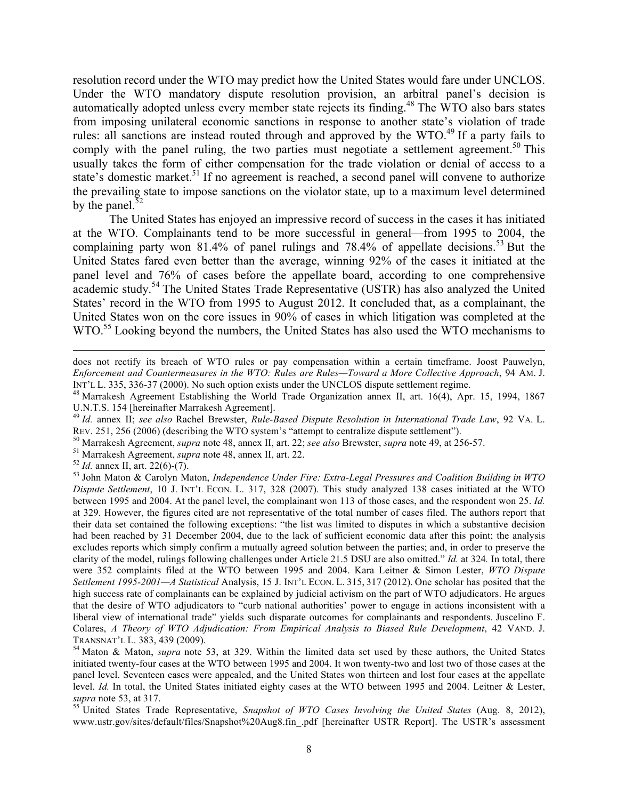resolution record under the WTO may predict how the United States would fare under UNCLOS. Under the WTO mandatory dispute resolution provision, an arbitral panel's decision is automatically adopted unless every member state rejects its finding.<sup>48</sup> The WTO also bars states from imposing unilateral economic sanctions in response to another state's violation of trade rules: all sanctions are instead routed through and approved by the WTO.<sup>49</sup> If a party fails to comply with the panel ruling, the two parties must negotiate a settlement agreement.<sup>50</sup> This usually takes the form of either compensation for the trade violation or denial of access to a state's domestic market.<sup>51</sup> If no agreement is reached, a second panel will convene to authorize the prevailing state to impose sanctions on the violator state, up to a maximum level determined by the panel. $52$ 

The United States has enjoyed an impressive record of success in the cases it has initiated at the WTO. Complainants tend to be more successful in general—from 1995 to 2004, the complaining party won 81.4% of panel rulings and 78.4% of appellate decisions.<sup>53</sup> But the United States fared even better than the average, winning 92% of the cases it initiated at the panel level and 76% of cases before the appellate board, according to one comprehensive academic study.<sup>54</sup> The United States Trade Representative (USTR) has also analyzed the United States' record in the WTO from 1995 to August 2012. It concluded that, as a complainant, the United States won on the core issues in 90% of cases in which litigation was completed at the WTO.<sup>55</sup> Looking beyond the numbers, the United States has also used the WTO mechanisms to

<u> 1989 - Andrea Santa Andrea Andrea Andrea Andrea Andrea Andrea Andrea Andrea Andrea Andrea Andrea Andrea Andr</u>

does not rectify its breach of WTO rules or pay compensation within a certain timeframe. Joost Pauwelyn, *Enforcement and Countermeasures in the WTO: Rules are Rules—Toward a More Collective Approach*, 94 AM. J. INT'L L. 335, 336-37 (2000). No such option exists under the UNCLOS dispute settlement regime.<br><sup>48</sup> Marrakesh Agreement Establishing the World Trade Organization annex II, art. 16(4), Apr. 15, 1994, 1867

U.N.T.S. 154 [hereinafter Marrakesh Agreement].

<sup>49</sup> *Id.* annex II; *see also* Rachel Brewster, *Rule-Based Dispute Resolution in International Trade Law*, 92 VA. L. REV. 251, 256 (2006) (describing the WTO system's "attempt to centralize dispute settlement").<br><sup>50</sup> Marrakesh Agreement, *supra* note 48, annex II, art. 22; *see also* Brewster, *supra* note 49, at 256-57.<br><sup>51</sup> Marrakesh A

*Dispute Settlement*, 10 J. INT'L ECON. L. 317, 328 (2007). This study analyzed 138 cases initiated at the WTO between 1995 and 2004. At the panel level, the complainant won 113 of those cases, and the respondent won 25. *Id.*  at 329. However, the figures cited are not representative of the total number of cases filed. The authors report that their data set contained the following exceptions: "the list was limited to disputes in which a substantive decision had been reached by 31 December 2004, due to the lack of sufficient economic data after this point; the analysis excludes reports which simply confirm a mutually agreed solution between the parties; and, in order to preserve the clarity of the model, rulings following challenges under Article 21.5 DSU are also omitted." *Id.* at 324*.* In total, there were 352 complaints filed at the WTO between 1995 and 2004. Kara Leitner & Simon Lester, *WTO Dispute Settlement 1995-2001—A Statistical* Analysis, 15 J. INT'L ECON. L. 315, 317 (2012). One scholar has posited that the high success rate of complainants can be explained by judicial activism on the part of WTO adjudicators. He argues that the desire of WTO adjudicators to "curb national authorities' power to engage in actions inconsistent with a liberal view of international trade" yields such disparate outcomes for complainants and respondents. Juscelino F. Colares, *A Theory of WTO Adjudication: From Empirical Analysis to Biased Rule Development*, 42 VAND. J. TRANSNAT'L L. 383, 439 (2009). <sup>54</sup> Maton & Maton, *supra* note 53, at 329. Within the limited data set used by these authors, the United States

initiated twenty-four cases at the WTO between 1995 and 2004. It won twenty-two and lost two of those cases at the panel level. Seventeen cases were appealed, and the United States won thirteen and lost four cases at the appellate level. *Id.* In total, the United States initiated eighty cases at the WTO between 1995 and 2004. Leitner & Lester, *supra* note 53, at 317. <sup>55</sup> United States Trade Representative, *Snapshot of WTO Cases Involving the United States* (Aug. 8, 2012),

www.ustr.gov/sites/default/files/Snapshot%20Aug8.fin\_.pdf [hereinafter USTR Report]. The USTR's assessment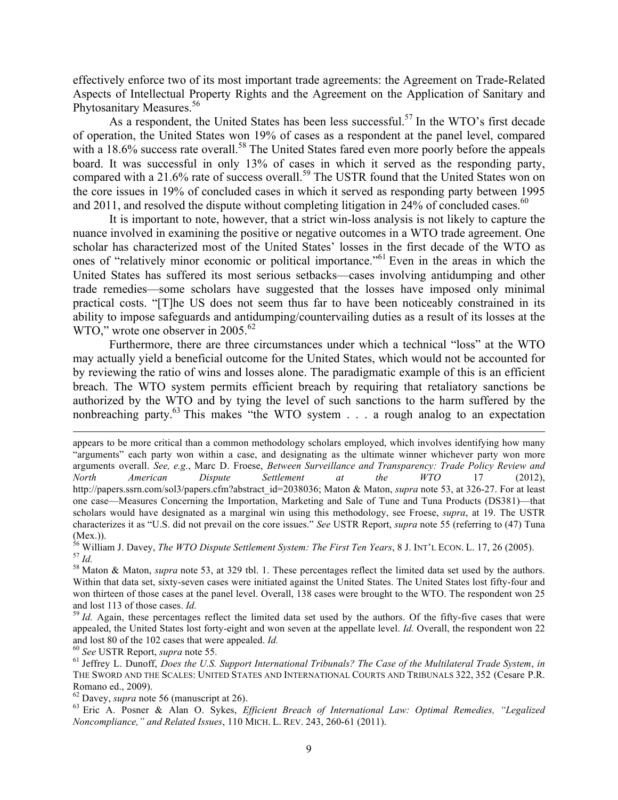effectively enforce two of its most important trade agreements: the Agreement on Trade-Related Aspects of Intellectual Property Rights and the Agreement on the Application of Sanitary and Phytosanitary Measures. 56

As a respondent, the United States has been less successful.<sup>57</sup> In the WTO's first decade of operation, the United States won 19% of cases as a respondent at the panel level, compared with a 18.6% success rate overall.<sup>58</sup> The United States fared even more poorly before the appeals board. It was successful in only 13% of cases in which it served as the responding party, compared with a 21.6% rate of success overall.<sup>59</sup> The USTR found that the United States won on the core issues in 19% of concluded cases in which it served as responding party between 1995 and 2011, and resolved the dispute without completing litigation in 24% of concluded cases.<sup>60</sup>

It is important to note, however, that a strict win-loss analysis is not likely to capture the nuance involved in examining the positive or negative outcomes in a WTO trade agreement. One scholar has characterized most of the United States' losses in the first decade of the WTO as ones of "relatively minor economic or political importance."<sup>61</sup> Even in the areas in which the United States has suffered its most serious setbacks—cases involving antidumping and other trade remedies—some scholars have suggested that the losses have imposed only minimal practical costs. "[T]he US does not seem thus far to have been noticeably constrained in its ability to impose safeguards and antidumping/countervailing duties as a result of its losses at the WTO," wrote one observer in 2005.<sup>62</sup>

Furthermore, there are three circumstances under which a technical "loss" at the WTO may actually yield a beneficial outcome for the United States, which would not be accounted for by reviewing the ratio of wins and losses alone. The paradigmatic example of this is an efficient breach. The WTO system permits efficient breach by requiring that retaliatory sanctions be authorized by the WTO and by tying the level of such sanctions to the harm suffered by the nonbreaching party.<sup>63</sup> This makes "the WTO system . . . a rough analog to an expectation

<u> 1989 - Jan Samuel Barbara, margaret eta idazlearia (h. 1989).</u><br>1980 - Johann Stone, italiar idazlearia (h. 1980).

appears to be more critical than a common methodology scholars employed, which involves identifying how many "arguments" each party won within a case, and designating as the ultimate winner whichever party won more arguments overall. *See, e.g.*, Marc D. Froese, *Between Surveillance and Transparency: Trade Policy Review and North American Dispute Settlement at the WTO* 17 (2012), http://papers.ssrn.com/sol3/papers.cfm?abstract\_id=2038036; Maton & Maton, *supra* note 53, at 326-27. For at least one case—Measures Concerning the Importation, Marketing and Sale of Tune and Tuna Products (DS381)—that scholars would have designated as a marginal win using this methodology, see Froese, *supra*, at 19. The USTR characterizes it as "U.S. did not prevail on the core issues." *See* USTR Report, *supra* note 55 (referring to (47) Tuna (Mex.)).<br><sup>56</sup> William J. Davey, *The WTO Dispute Settlement System: The First Ten Years*, 8 J. INT'L ECON. L. 17, 26 (2005).

<sup>&</sup>lt;sup>57</sup> *Id.*<br><sup>58</sup> Maton & Maton, *supra* note 53, at 329 tbl. 1. These percentages reflect the limited data set used by the authors.

Within that data set, sixty-seven cases were initiated against the United States. The United States lost fifty-four and won thirteen of those cases at the panel level. Overall, 138 cases were brought to the WTO. The respondent won 25 and lost 113 of those cases. *Id.*<br><sup>59</sup> *Id.* Again, these percentages reflect the limited data set used by the authors. Of the fifty-five cases that were

appealed, the United States lost forty-eight and won seven at the appellate level. *Id.* Overall, the respondent won 22 and lost 80 of the 102 cases that were appealed. *Id.*<br><sup>60</sup> See USTR Report, *supra* note 55.<br><sup>61</sup> Jeffrey L. Dunoff, *Does the U.S. Support International Tribunals? The Case of the Multilateral Trade System, in* 

THE SWORD AND THE SCALES: UNITED STATES AND INTERNATIONAL COURTS AND TRIBUNALS 322, 352 (Cesare P.R. Romano ed., 2009).<br><sup>62</sup> Davey, *supra* note 56 (manuscript at 26).

<sup>&</sup>lt;sup>63</sup> Eric A. Posner & Alan O. Sykes, *Efficient Breach of International Law: Optimal Remedies, "Legalized Noncompliance," and Related Issues*, 110 MICH. L. REV. 243, 260-61 (2011).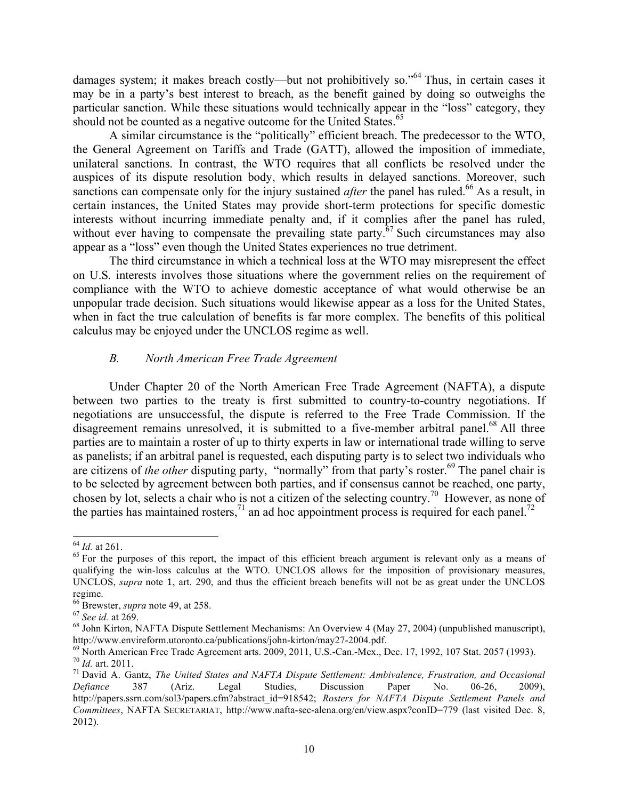damages system; it makes breach costly—but not prohibitively so."<sup>64</sup> Thus, in certain cases it may be in a party's best interest to breach, as the benefit gained by doing so outweighs the particular sanction. While these situations would technically appear in the "loss" category, they should not be counted as a negative outcome for the United States.<sup>65</sup>

A similar circumstance is the "politically" efficient breach. The predecessor to the WTO, the General Agreement on Tariffs and Trade (GATT), allowed the imposition of immediate, unilateral sanctions. In contrast, the WTO requires that all conflicts be resolved under the auspices of its dispute resolution body, which results in delayed sanctions. Moreover, such sanctions can compensate only for the injury sustained *after* the panel has ruled.<sup>66</sup> As a result, in certain instances, the United States may provide short-term protections for specific domestic interests without incurring immediate penalty and, if it complies after the panel has ruled, without ever having to compensate the prevailing state party.<sup> $67$ </sup> Such circumstances may also appear as a "loss" even though the United States experiences no true detriment.

The third circumstance in which a technical loss at the WTO may misrepresent the effect on U.S. interests involves those situations where the government relies on the requirement of compliance with the WTO to achieve domestic acceptance of what would otherwise be an unpopular trade decision. Such situations would likewise appear as a loss for the United States, when in fact the true calculation of benefits is far more complex. The benefits of this political calculus may be enjoyed under the UNCLOS regime as well.

# *B. North American Free Trade Agreement*

Under Chapter 20 of the North American Free Trade Agreement (NAFTA), a dispute between two parties to the treaty is first submitted to country-to-country negotiations. If negotiations are unsuccessful, the dispute is referred to the Free Trade Commission. If the disagreement remains unresolved, it is submitted to a five-member arbitral panel.<sup>68</sup> All three parties are to maintain a roster of up to thirty experts in law or international trade willing to serve as panelists; if an arbitral panel is requested, each disputing party is to select two individuals who are citizens of *the other* disputing party, "normally" from that party's roster.<sup>69</sup> The panel chair is to be selected by agreement between both parties, and if consensus cannot be reached, one party, chosen by lot, selects a chair who is not a citizen of the selecting country.70 However, as none of the parties has maintained rosters,  $\frac{71}{1}$  an ad hoc appointment process is required for each panel.<sup>72</sup>

 $^{64}$  *Id.* at 261.<br><sup>65</sup> For the purposes of this report, the impact of this efficient breach argument is relevant only as a means of qualifying the win-loss calculus at the WTO. UNCLOS allows for the imposition of provisionary measures, UNCLOS, *supra* note 1, art. 290, and thus the efficient breach benefits will not be as great under the UNCLOS regime.<br><sup>66</sup> Brewster, *supra* note 49, at 258.

<sup>&</sup>lt;sup>67</sup> See id. at 269.<br><sup>68</sup> John Kirton, NAFTA Dispute Settlement Mechanisms: An Overview 4 (May 27, 2004) (unpublished manuscript),

http://www.envireform.utoronto.ca/publications/john-kirton/may27-2004.pdf.<br><sup>69</sup> North American Free Trade Agreement arts. 2009, 2011, U.S.-Can.-Mex., Dec. 17, 1992, 107 Stat. 2057 (1993).<br><sup>70</sup> *Id.* art. 2011.<br><sup>71</sup> David

*Defiance* 387 (Ariz. Legal Studies, Discussion Paper No. 06-26, 2009), http://papers.ssrn.com/sol3/papers.cfm?abstract\_id=918542; *Rosters for NAFTA Dispute Settlement Panels and Committees*, NAFTA SECRETARIAT, http://www.nafta-sec-alena.org/en/view.aspx?conID=779 (last visited Dec. 8, 2012).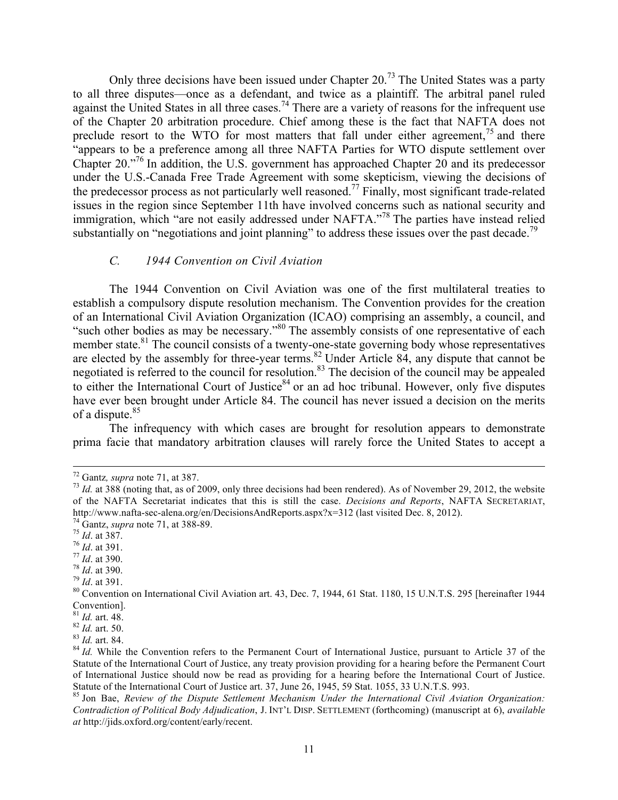Only three decisions have been issued under Chapter 20.<sup>73</sup> The United States was a party to all three disputes—once as a defendant, and twice as a plaintiff. The arbitral panel ruled against the United States in all three cases.<sup>74</sup> There are a variety of reasons for the infrequent use of the Chapter 20 arbitration procedure. Chief among these is the fact that NAFTA does not preclude resort to the WTO for most matters that fall under either agreement,  $^{75}$  and there "appears to be a preference among all three NAFTA Parties for WTO dispute settlement over Chapter 20."76 In addition, the U.S. government has approached Chapter 20 and its predecessor under the U.S.-Canada Free Trade Agreement with some skepticism, viewing the decisions of the predecessor process as not particularly well reasoned.<sup>77</sup> Finally, most significant trade-related issues in the region since September 11th have involved concerns such as national security and immigration, which "are not easily addressed under NAFTA."<sup>78</sup> The parties have instead relied substantially on "negotiations and joint planning" to address these issues over the past decade.<sup>79</sup>

# *C. 1944 Convention on Civil Aviation*

The 1944 Convention on Civil Aviation was one of the first multilateral treaties to establish a compulsory dispute resolution mechanism. The Convention provides for the creation of an International Civil Aviation Organization (ICAO) comprising an assembly, a council, and "such other bodies as may be necessary."<sup>80</sup> The assembly consists of one representative of each member state.<sup>81</sup> The council consists of a twenty-one-state governing body whose representatives are elected by the assembly for three-year terms.<sup>82</sup> Under Article 84, any dispute that cannot be negotiated is referred to the council for resolution.<sup>83</sup> The decision of the council may be appealed to either the International Court of Justice $84$  or an ad hoc tribunal. However, only five disputes have ever been brought under Article 84. The council has never issued a decision on the merits of a dispute.<sup>85</sup>

The infrequency with which cases are brought for resolution appears to demonstrate prima facie that mandatory arbitration clauses will rarely force the United States to accept a

 <sup>72</sup> Gantz*, supra* note 71, at 387. <sup>73</sup> *Id.* at 388 (noting that, as of 2009, only three decisions had been rendered). As of November 29, 2012, the website of the NAFTA Secretariat indicates that this is still the case. *Decisions and Reports*, NAFTA SECRETARIAT, http://www.nafta-sec-alena.org/en/DecisionsAndReports.aspx?x=312 (last visited Dec. 8, 2012).<br><sup>74</sup> Gantz, *supra* note 71, at 388-89.<br><sup>75</sup> *Id.* at 387.<br><sup>76</sup> *Id.* at 391.<br><sup>77</sup> *Id.* at 390.<br><sup>79</sup> *Id.* at 390.<br><sup>79</sup> *Id.*

Convention].<br> $81$  *Id.* art. 48.

<sup>81</sup> *Id.* art. 48. <sup>82</sup> *Id.* art. 50. <sup>83</sup> *Id.* art. 84. 84 *Id.* While the Convention refers to the Permanent Court of International Justice, pursuant to Article 37 of the Statute of the International Court of Justice, any treaty provision providing for a hearing before the Permanent Court of International Justice should now be read as providing for a hearing before the International Court of Justice. Statute of the International Court of Justice art. 37, June 26, 1945, 59 Stat. 1055, 33 U.N.T.S. 993.<br><sup>85</sup> Jon Bae, *Review of the Dispute Settlement Mechanism Under the International Civil Aviation Organization:* 

*Contradiction of Political Body Adjudication*, J. INT'L DISP. SETTLEMENT (forthcoming) (manuscript at 6), *available at* http://jids.oxford.org/content/early/recent.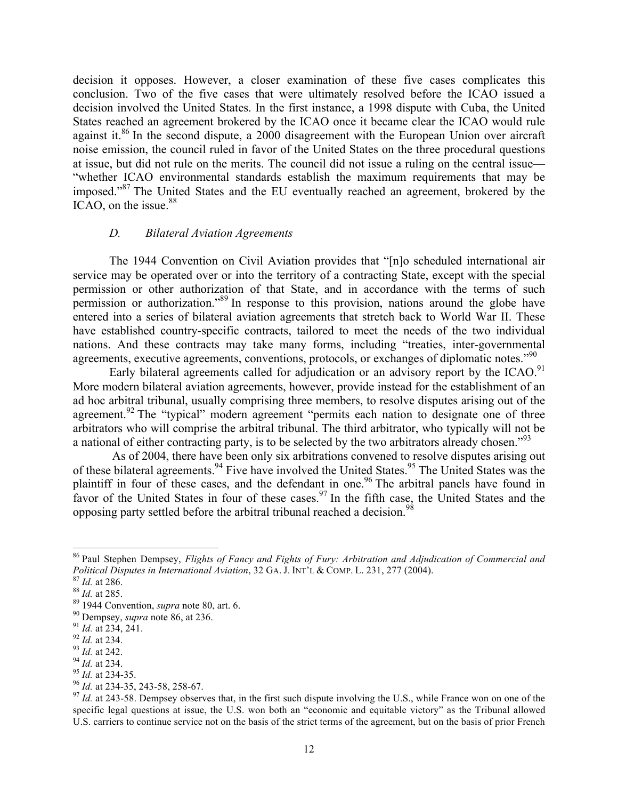decision it opposes. However, a closer examination of these five cases complicates this conclusion. Two of the five cases that were ultimately resolved before the ICAO issued a decision involved the United States. In the first instance, a 1998 dispute with Cuba, the United States reached an agreement brokered by the ICAO once it became clear the ICAO would rule against it.<sup>86</sup> In the second dispute, a 2000 disagreement with the European Union over aircraft noise emission, the council ruled in favor of the United States on the three procedural questions at issue, but did not rule on the merits. The council did not issue a ruling on the central issue— "whether ICAO environmental standards establish the maximum requirements that may be imposed."<sup>87</sup> The United States and the EU eventually reached an agreement, brokered by the ICAO, on the issue.<sup>88</sup>

#### *D. Bilateral Aviation Agreements*

The 1944 Convention on Civil Aviation provides that "[n]o scheduled international air service may be operated over or into the territory of a contracting State, except with the special permission or other authorization of that State, and in accordance with the terms of such permission or authorization."<sup>89</sup> In response to this provision, nations around the globe have entered into a series of bilateral aviation agreements that stretch back to World War II. These have established country-specific contracts, tailored to meet the needs of the two individual nations. And these contracts may take many forms, including "treaties, inter-governmental agreements, executive agreements, conventions, protocols, or exchanges of diplomatic notes."<sup>90</sup>

Early bilateral agreements called for adjudication or an advisory report by the ICAO.<sup>91</sup> More modern bilateral aviation agreements, however, provide instead for the establishment of an ad hoc arbitral tribunal, usually comprising three members, to resolve disputes arising out of the agreement.<sup>92</sup> The "typical" modern agreement "permits each nation to designate one of three arbitrators who will comprise the arbitral tribunal. The third arbitrator, who typically will not be a national of either contracting party, is to be selected by the two arbitrators already chosen."<sup>93</sup>

As of 2004, there have been only six arbitrations convened to resolve disputes arising out of these bilateral agreements.<sup>94</sup> Five have involved the United States.<sup>95</sup> The United States was the plaintiff in four of these cases, and the defendant in one.<sup>96</sup> The arbitral panels have found in favor of the United States in four of these cases.<sup>97</sup> In the fifth case, the United States and the opposing party settled before the arbitral tribunal reached a decision.<sup>98</sup>

<sup>&</sup>lt;sup>86</sup> Paul Stephen Dempsey, *Flights of Fancy and Fights of Fury: Arbitration and Adjudication of Commercial and Political Disputes in International Aviation, 32 GA. J. INT'L & COMP. L. 231, 277 (2004).* Political Disputes in International Aviation, 32 GA. J. INT'L & COMP. L. 231, 277 (2004).<br>
<sup>87</sup> Id. at 286.<br>
<sup>88</sup> Id. at 285.<br>
<sup>89</sup> 1944 Convention, *supra* note 86, at 236.<br>
<sup>99</sup> 1949 Convention, *supra* note 86, at 236.

specific legal questions at issue, the U.S. won both an "economic and equitable victory" as the Tribunal allowed U.S. carriers to continue service not on the basis of the strict terms of the agreement, but on the basis of prior French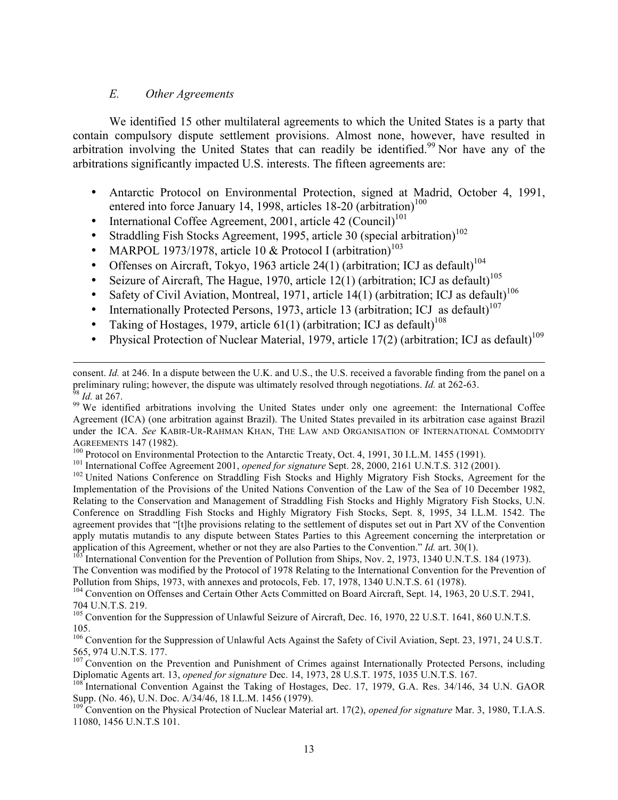### *E. Other Agreements*

We identified 15 other multilateral agreements to which the United States is a party that contain compulsory dispute settlement provisions. Almost none, however, have resulted in arbitration involving the United States that can readily be identified.<sup>99</sup> Nor have any of the arbitrations significantly impacted U.S. interests. The fifteen agreements are:

- Antarctic Protocol on Environmental Protection, signed at Madrid, October 4, 1991, entered into force January 14, 1998, articles  $18-20$  (arbitration)<sup>100</sup>
- International Coffee Agreement, 2001, article 42  $(Count)^{101}$
- Straddling Fish Stocks Agreement, 1995, article 30 (special arbitration)<sup>102</sup>
- MARPOL 1973/1978, article 10 & Protocol I (arbitration)<sup>103</sup>
- Offenses on Aircraft, Tokyo, 1963 article 24(1) (arbitration; ICJ as default)<sup>104</sup>
- Seizure of Aircraft, The Hague, 1970, article  $12(1)$  (arbitration; ICJ as default)<sup>105</sup>
- Safety of Civil Aviation, Montreal, 1971, article  $14(1)$  (arbitration; ICJ as default)<sup>106</sup>
- Internationally Protected Persons, 1973, article 13 (arbitration; ICJ as default)<sup>107</sup>
- Taking of Hostages, 1979, article 61(1) (arbitration; ICJ as default)<sup>108</sup>
- Physical Protection of Nuclear Material, 1979, article 17(2) (arbitration; ICJ as default)<sup>109</sup>

 

AGREEMENTS 147 (1982).<br><sup>100</sup> Protocol on Environmental Protection to the Antarctic Treaty, Oct. 4, 1991, 30 I.L.M. 1455 (1991).<br><sup>101</sup> International Coffee Agreement 2001, *opened for signature* Sept. 28, 2000, 2161 U.N.T.S

Implementation of the Provisions of the United Nations Convention of the Law of the Sea of 10 December 1982, Relating to the Conservation and Management of Straddling Fish Stocks and Highly Migratory Fish Stocks, U.N. Conference on Straddling Fish Stocks and Highly Migratory Fish Stocks, Sept. 8, 1995, 34 I.L.M. 1542. The agreement provides that "[t]he provisions relating to the settlement of disputes set out in Part XV of the Convention apply mutatis mutandis to any dispute between States Parties to this Agreement concerning the interpretation or application of this Agreement, whether or not they are also Parties to the Convention." *Id.* art. 30(1).<br><sup>103</sup> International Convention for the Prevention of Pollution from Ships, Nov. 2, 1973, 1340 U.N.T.S. 184 (1973).

The Convention was modified by the Protocol of 1978 Relating to the International Convention for the Prevention of Pollution from Ships, 1973, with annexes and protocols, Feb. 17, 1978, 1340 U.N.T.S. 61 (1978).<br><sup>104</sup> Convention on Offenses and Certain Other Acts Committed on Board Aircraft, Sept. 14, 1963, 20 U.S.T. 2941,

704 U.N.T.S. 219.

<sup>105</sup> Convention for the Suppression of Unlawful Seizure of Aircraft, Dec. 16, 1970, 22 U.S.T. 1641, 860 U.N.T.S. 105.

<sup>106</sup> Convention for the Suppression of Unlawful Acts Against the Safety of Civil Aviation, Sept. 23, 1971, 24 U.S.T. 565, 974 U.N.T.S. 177.

<sup>107</sup> Convention on the Prevention and Punishment of Crimes against Internationally Protected Persons, including Diplomatic Agents art. 13, *opened for signature* Dec. 14, 1973, 28 U.S.T. 1975, 1035 U.N.T.S. 167.

<sup>109</sup> Convention on the Physical Protection of Nuclear Material art. 17(2), *opened for signature* Mar. 3, 1980, T.I.A.S. 11080, 1456 U.N.T.S 101.

consent. *Id.* at 246. In a dispute between the U.K. and U.S., the U.S. received a favorable finding from the panel on a preliminary ruling; however, the dispute was ultimately resolved through negotiations. *Id.* at 262-63.<br><sup>98</sup> *Id.* at 267.<br><sup>99</sup> We identified arbitrations involving the United States under only one agreement: the Internat

Agreement (ICA) (one arbitration against Brazil). The United States prevailed in its arbitration case against Brazil under the ICA. *See* KABIR-UR-RAHMAN KHAN, THE LAW AND ORGANISATION OF INTERNATIONAL COMMODITY

<sup>&</sup>lt;sup>108</sup> International Convention Against the Taking of Hostages, Dec. 17, 1979, G.A. Res. 34/146, 34 U.N. GAOR Supp. (No. 46), U.N. Doc. A/34/46, 18 I.L.M. 1456 (1979).